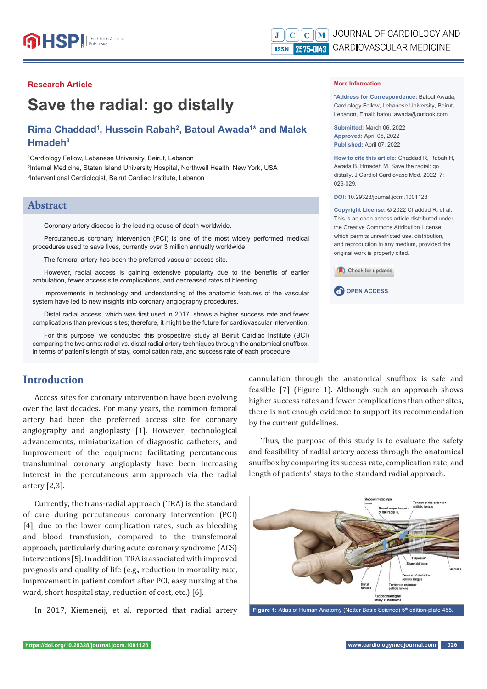



#### **Research Article**

# **Save the radial: go distally**

# **Rima Chaddad1 , Hussein Rabah2 , Batoul Awada1 \* and Malek Hmadeh3**

1 Cardiology Fellow, Lebanese University, Beirut, Lebanon 2 Internal Medicine, Staten Island University Hospital, Northwell Health, New York, USA 3 Interventional Cardiologist, Beirut Cardiac Institute, Lebanon

#### **Abstract**

Coronary artery disease is the leading cause of death worldwide.

Percutaneous coronary intervention (PCI) is one of the most widely performed medical procedures used to save lives, currently over 3 million annually worldwide.

The femoral artery has been the preferred vascular access site.

However, radial access is gaining extensive popularity due to the benefits of earlier ambulation, fewer access site complications, and decreased rates of bleeding.

Improvements in technology and understanding of the anatomic features of the vascular system have led to new insights into coronary angiography procedures.

Distal radial access, which was first used in 2017, shows a higher success rate and fewer complications than previous sites; therefore, it might be the future for cardiovascular intervention.

For this purpose, we conducted this prospective study at Beirut Cardiac Institute (BCI) comparing the two arms: radial *vs.* distal radial artery techniques through the anatomical snuffbox, in terms of patient's length of stay, complication rate, and success rate of each procedure.

# **Introduction**

Access sites for coronary intervention have been evolving over the last decades. For many years, the common femoral artery had been the preferred access site for coronary angiography and angioplasty [1]. However, technological advancements, miniaturization of diagnostic catheters, and improvement of the equipment facilitating percutaneous transluminal coronary angioplasty have been increasing interest in the percutaneous arm approach via the radial artery [2,3].

Currently, the trans-radial approach (TRA) is the standard of care during percutaneous coronary intervention (PCI) [4], due to the lower complication rates, such as bleeding and blood transfusion, compared to the transfemoral approach, particularly during acute coronary syndrome (ACS) interventions [5]. In addition, TRA is associated with improved prognosis and quality of life (e.g., reduction in mortality rate, improvement in patient comfort after PCI, easy nursing at the ward, short hospital stay, reduction of cost, etc.) [6].

cannulation through the anatomical snuffbox is safe and feasible [7] (Figure 1). Although such an approach shows higher success rates and fewer complications than other sites, there is not enough evidence to support its recommendation by the current guidelines.

Thus, the purpose of this study is to evaluate the safety and feasibility of radial artery access through the anatomical snuffbox by comparing its success rate, complication rate, and length of patients' stays to the standard radial approach.



#### **More Information**

**\*Address for Correspondence:** Batoul Awada, Cardiology Fellow, Lebanese University, Beirut, Lebanon, Email: batoul.awada@outlook.com

**Submitted:** March 06, 2022 **Approved:** April 05, 2022 **Published:** April 07, 2022

**How to cite this article:** Chaddad R, Rabah H, Awada B, Hmadeh M. Save the radial: go distally. J Cardiol Cardiovasc Med. 2022; 7: 026-029.

**DOI:** 10.29328/journal.jccm.1001128

**Copyright License: ©** 2022 Chaddad R, et al. This is an open access article distributed under the Creative Commons Attribution License, which permits unrestricted use, distribution, and reproduction in any medium, provided the original work is properly cited.

Check for updates

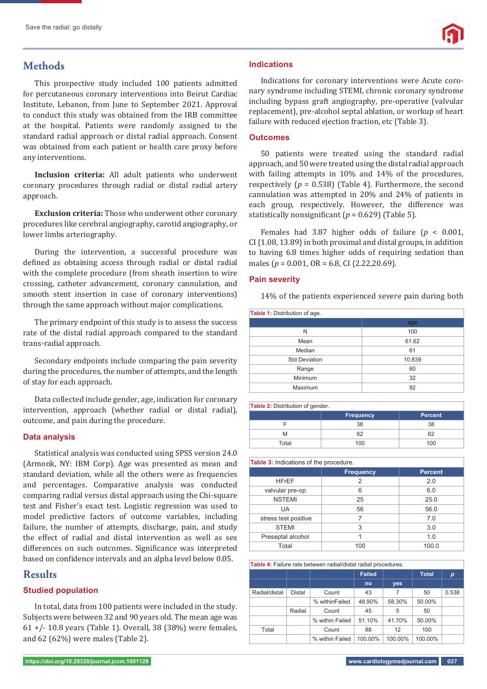# **Methods**

This prospective study included 100 patients admitted for percutaneous coronary interventions into Beirut Cardiac Institute, Lebanon, from June to September 2021. Approval to conduct this study was obtained from the IRB committee at the hospital. Patients were randomly assigned to the standard radial approach or distal radial approach. Consent was obtained from each patient or health care proxy before any interventions.

**Inclusion criteria:** All adult patients who underwent coronary procedures through radial or distal radial artery approach.

**Exclusion criteria:** Those who underwent other coronary procedures like cerebral angiography, carotid angiography, or lower limbs arteriography.

During the intervention, a successful procedure was defined as obtaining access through radial or distal radial with the complete procedure (from sheath insertion to wire crossing, catheter advancement, coronary cannulation, and smooth stent insertion in case of coronary interventions) through the same approach without major complications.

The primary endpoint of this study is to assess the success rate of the distal radial approach compared to the standard trans-radial approach.

Secondary endpoints include comparing the pain severity during the procedures, the number of attempts, and the length of stay for each approach.

Data collected include gender, age, indication for coronary intervention, approach (whether radial or distal radial), outcome, and pain during the procedure.

#### **Data analysis**

Statistical analysis was conducted using SPSS version 24.0 (Armonk, NY: IBM Corp). Age was presented as mean and standard deviation, while all the others were as frequencies and percentages. Comparative analysis was conducted comparing radial versus distal approach using the Chi-square test and Fisher's exact test. Logistic regression was used to model predictive factors of outcome variables, including failure, the number of attempts, discharge, pain, and study the effect of radial and distal intervention as well as sex differences on such outcomes. Significance was interpreted based on confidence intervals and an alpha level below 0.05.

# **Results**

#### **Studied population**

In total, data from 100 patients were included in the study. Subjects were between 32 and 90 years old. The mean age was 61 +/- 10.8 years (Table 1)*.* Overall, 38 (38%) were females, and 62 (62%) were males (Table 2).

Indications for coronary interventions were Acute coronary syndrome including STEMI, chronic coronary syndrome including bypass graft angiography, pre-operative (valvular replacement), pre-alcohol septal ablation, or workup of heart failure with reduced ejection fraction, etc (Table 3).

#### **Outcomes**

50 patients were treated using the standard radial approach, and 50 were treated using the distal radial approach with failing attempts in 10% and 14% of the procedures, respectively (*p* = 0.538) (Table 4)*.* Furthermore, the second cannulation was attempted in 20% and 24% of patients in each group, respectively. However, the difference was statistically nonsignificant  $(p = 0.629)$  (Table 5).

Females had 3.87 higher odds of failure (*p* < 0.001, CI {1.08, 13.89} in both proximal and distal groups, in addition to having 6.8 times higher odds of requiring sedation than males (*p* = 0.001, OR = 6.8, CI {2.22,20.69}.

#### **Pain severity**

14% of the patients experienced severe pain during both

| <b>Table 1: Distribution of age.</b> |        |  |  |  |  |
|--------------------------------------|--------|--|--|--|--|
|                                      | age    |  |  |  |  |
| N                                    | 100    |  |  |  |  |
| Mean                                 | 61.62  |  |  |  |  |
| Median                               | 61     |  |  |  |  |
| <b>Std Deviation</b>                 | 10.839 |  |  |  |  |
| Range                                | 60     |  |  |  |  |
| Minimum                              | 32     |  |  |  |  |
| Maximum                              | 92     |  |  |  |  |

#### **Table 2:** Distribution of gender.

| ັ     |                  |                |
|-------|------------------|----------------|
|       | <b>Frequency</b> | <b>Percent</b> |
|       | 38               | 38             |
|       | คว               |                |
| Total | 100              | 100            |

| <b>Table 3:</b> Indications of the procedure. |                  |                |  |  |  |  |
|-----------------------------------------------|------------------|----------------|--|--|--|--|
|                                               | <b>Frequency</b> | <b>Percent</b> |  |  |  |  |
| <b>HFrEF</b>                                  | $\overline{2}$   | 2.0            |  |  |  |  |
| valvular pre-op                               | 6                | 6.0            |  |  |  |  |
| <b>NSTEMI</b>                                 | 25               | 25.0           |  |  |  |  |
| UA                                            | 56               | 56.0           |  |  |  |  |
| stress test positive                          |                  | 7.0            |  |  |  |  |
| <b>STEMI</b>                                  | 3                | 3.0            |  |  |  |  |
| Preseptal alcohol                             |                  | 1.0            |  |  |  |  |
| Total                                         | 100              | 100.0          |  |  |  |  |

#### **Table 4:** Failure rate between radial/distal radial procedures.

|               |        |                 | <b>Failed</b> |         | <b>Total</b> | р     |
|---------------|--------|-----------------|---------------|---------|--------------|-------|
|               |        |                 | no            | yes     |              |       |
| Radial/distal | Distal | Count           | 43            | 7       | 50           | 0.538 |
|               |        | % withinFailed  | 48.90%        | 58.30%  | 50.00%       |       |
|               | Radial | Count           | 45            | 5       | 50           |       |
|               |        | % within Failed | 51.10%        | 41.70%  | 50.00%       |       |
| Total         | Count  |                 | 88            | 12      | 100          |       |
|               |        | % within Failed | 100.00%       | 100.00% | 100.00%      |       |

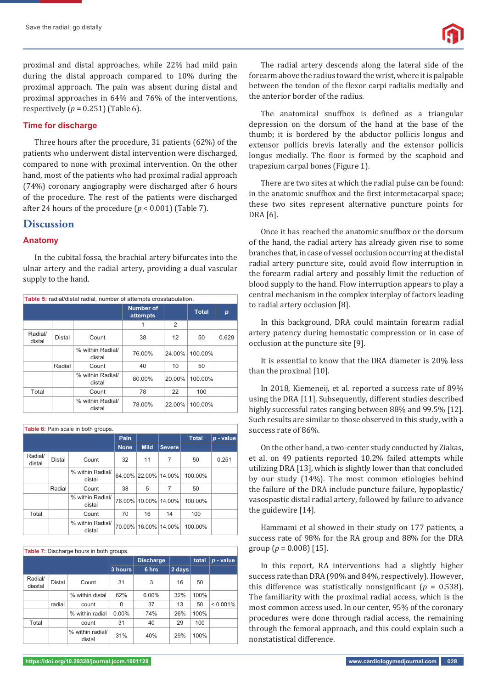proximal and distal approaches, while 22% had mild pain during the distal approach compared to 10% during the proximal approach. The pain was absent during distal and proximal approaches in 64% and 76% of the interventions, respectively (*p* = 0.251) (Table 6)*.*

#### **Time for discharge**

Three hours after the procedure, 31 patients (62%) of the patients who underwent distal intervention were discharged, compared to none with proximal intervention. On the other hand, most of the patients who had proximal radial approach (74%) coronary angiography were discharged after 6 hours of the procedure. The rest of the patients were discharged after 24 hours of the procedure  $(p < 0.001)$  (Table 7).

# **Discussion**

#### **Anatomy**

In the cubital fossa, the brachial artery bifurcates into the ulnar artery and the radial artery, providing a dual vascular supply to the hand.

| Table 5: radial/distal radial, number of attempts crosstabulation. |        |                            |                              |        |              |                  |  |
|--------------------------------------------------------------------|--------|----------------------------|------------------------------|--------|--------------|------------------|--|
|                                                                    |        |                            | <b>Number of</b><br>attempts |        | <b>Total</b> | $\boldsymbol{p}$ |  |
|                                                                    |        |                            | 1                            | 2      |              |                  |  |
| Radial/<br>distal                                                  | Distal | Count                      | 38                           | 12     | 50           | 0.629            |  |
|                                                                    |        | % within Radial/<br>distal | 76.00%                       | 24.00% | 100.00%      |                  |  |
|                                                                    | Radial | Count                      | 40                           | 10     | 50           |                  |  |
|                                                                    |        | % within Radial/<br>distal | 80.00%                       | 20.00% | 100.00%      |                  |  |
| Total                                                              |        | Count                      | 78                           | 22     | 100          |                  |  |
|                                                                    |        | % within Radial/<br>distal | 78.00%                       | 22.00% | 100.00%      |                  |  |

**Table 6:** Pain scale in both groups.

|                   |        |                            | Pain        |                      |               | <b>Total</b> | $p$ - value |  |
|-------------------|--------|----------------------------|-------------|----------------------|---------------|--------------|-------------|--|
|                   |        |                            | <b>None</b> | Mild.                | <b>Severe</b> |              |             |  |
| Radial/<br>distal | Distal | Count                      | 32          | 11                   | 7             | 50           | 0.251       |  |
|                   |        | % within Radial/<br>distal |             | 64.00% 22.00% 14.00% |               | 100.00%      |             |  |
|                   | Radial | Count                      | 38          | 5                    | 7             | 50           |             |  |
|                   |        | % within Radial/<br>distal |             | 76.00% 10.00% 14.00% |               | 100.00%      |             |  |
| Total             |        | Count                      | 70          | 16                   | 14            | 100          |             |  |
|                   |        | % within Radial/<br>distal | 70.00%      |                      | 16.00% 14.00% | 100.00%      |             |  |

| Table 7: Discharge hours in both groups. |        |                            |          |                  |        |       |           |  |
|------------------------------------------|--------|----------------------------|----------|------------------|--------|-------|-----------|--|
|                                          |        |                            |          | <b>Discharge</b> |        | total | p - value |  |
|                                          |        |                            | 3 hours  | 6 hrs            | 2 days |       |           |  |
| Radial/<br>diastal                       | Distal | Count                      | 31       | 3                | 16     | 50    |           |  |
|                                          |        | % within distal            | 62%      | 6.00%            | 32%    | 100%  |           |  |
|                                          | radial | count                      | 0        | 37               | 13     | 50    | < 0.001%  |  |
|                                          |        | % within radial            | $0.00\%$ | 74%              | 26%    | 100%  |           |  |
| Total                                    |        | count                      | 31       | 40               | 29     | 100   |           |  |
|                                          |        | % within radial/<br>distal | 31%      | 40%              | 29%    | 100%  |           |  |

The radial artery descends along the lateral side of the forearm above the radius toward the wrist, where it is palpable between the tendon of the flexor carpi radialis medially and the anterior border of the radius.

The anatomical snuffbox is defined as a triangular depression on the dorsum of the hand at the base of the thumb; it is bordered by the abductor pollicis longus and extensor pollicis brevis laterally and the extensor pollicis longus medially. The floor is formed by the scaphoid and trapezium carpal bones (Figure 1).

There are two sites at which the radial pulse can be found: in the anatomic snuffbox and the first intermetacarpal space; these two sites represent alternative puncture points for DRA [6].

Once it has reached the anatomic snuffbox or the dorsum of the hand, the radial artery has already given rise to some branches that, in case of vessel occlusion occurring at the distal radial artery puncture site, could avoid flow interruption in the forearm radial artery and possibly limit the reduction of blood supply to the hand. Flow interruption appears to play a central mechanism in the complex interplay of factors leading to radial artery occlusion [8].

In this background, DRA could maintain forearm radial artery patency during hemostatic compression or in case of occlusion at the puncture site [9].

It is essential to know that the DRA diameter is 20% less than the proximal [10].

In 2018, Kiemeneij, et al. reported a success rate of 89% using the DRA [11]. Subsequently, different studies described highly successful rates ranging between 88% and 99.5% [12]. Such results are similar to those observed in this study, with a success rate of 86%.

On the other hand, a two-center study conducted by Ziakas, et al. on 49 patients reported 10.2% failed attempts while utilizing DRA [13], which is slightly lower than that concluded by our study (14%). The most common etiologies behind the failure of the DRA include puncture failure, hypoplastic/ vasospastic distal radial artery, followed by failure to advance the guidewire [14].

Hammami et al showed in their study on 177 patients, a success rate of 98% for the RA group and 88% for the DRA group ( $p = 0.008$ ) [15].

In this report, RA interventions had a slightly higher success rate than DRA (90% and 84%, respectively). However, this difference was statistically nonsignificant ( $p = 0.538$ ). The familiarity with the proximal radial access, which is the most common access used. In our center, 95% of the coronary procedures were done through radial access, the remaining through the femoral approach, and this could explain such a nonstatistical difference.